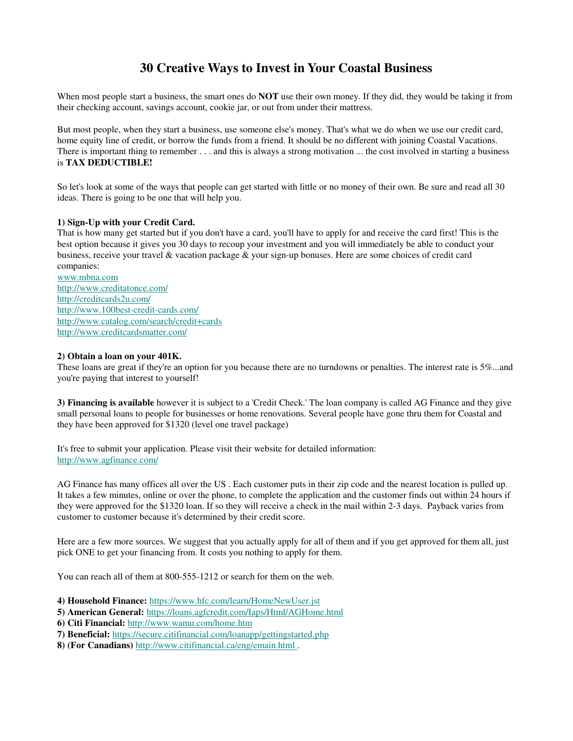# **30 Creative Ways to Invest in Your Coastal Business**

When most people start a business, the smart ones do **NOT** use their own money. If they did, they would be taking it from their checking account, savings account, cookie jar, or out from under their mattress.

But most people, when they start a business, use someone else's money. That's what we do when we use our credit card, home equity line of credit, or borrow the funds from a friend. It should be no different with joining Coastal Vacations. There is important thing to remember . . . and this is always a strong motivation ... the cost involved in starting a business is **TAX DEDUCTIBLE!**

So let's look at some of the ways that people can get started with little or no money of their own. Be sure and read all 30 ideas. There is going to be one that will help you.

# **1) Sign-Up with your Credit Card.**

That is how many get started but if you don't have a card, you'll have to apply for and receive the card first! This is the best option because it gives you 30 days to recoup your investment and you will immediately be able to conduct your business, receive your travel & vacation package & your sign-up bonuses. Here are some choices of credit card companies:

www.mbna.com http://www.creditatonce.com/ http://creditcards2u.com/ http://www.100best-credit-cards.com/ http://www.catalog.com/search/credit+cards http://www.creditcardsmatter.com/

# **2) Obtain a loan on your 401K.**

These loans are great if they're an option for you because there are no turndowns or penalties. The interest rate is 5%...and you're paying that interest to yourself!

**3) Financing is available** however it is subject to a 'Credit Check.' The loan company is called AG Finance and they give small personal loans to people for businesses or home renovations. Several people have gone thru them for Coastal and they have been approved for \$1320 (level one travel package)

It's free to submit your application. Please visit their website for detailed information: http://www.agfinance.com/

AG Finance has many offices all over the US . Each customer puts in their zip code and the nearest location is pulled up. It takes a few minutes, online or over the phone, to complete the application and the customer finds out within 24 hours if they were approved for the \$1320 loan. If so they will receive a check in the mail within 2-3 days. Payback varies from customer to customer because it's determined by their credit score.

Here are a few more sources. We suggest that you actually apply for all of them and if you get approved for them all, just pick ONE to get your financing from. It costs you nothing to apply for them.

You can reach all of them at 800-555-1212 or search for them on the web.

**4) Household Finance:** https://www.hfc.com/learn/HomeNewUser.jst

**5) American General:** https://loans.agfcredit.com/Iaps/Html/AGHome.html

**6) Citi Financial:** http://www.wamu.com/home.htm

- **7) Beneficial:** https://secure.citifinancial.com/loanapp/gettingstarted.php
- **8) (For Canadians)** http://www.citifinancial.ca/eng/emain.html .